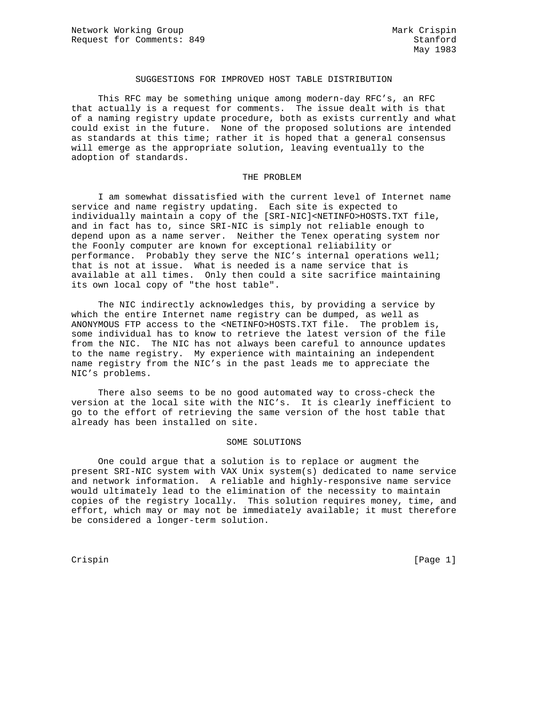## SUGGESTIONS FOR IMPROVED HOST TABLE DISTRIBUTION

 This RFC may be something unique among modern-day RFC's, an RFC that actually is a request for comments. The issue dealt with is that of a naming registry update procedure, both as exists currently and what could exist in the future. None of the proposed solutions are intended as standards at this time; rather it is hoped that a general consensus will emerge as the appropriate solution, leaving eventually to the adoption of standards.

## THE PROBLEM

 I am somewhat dissatisfied with the current level of Internet name service and name registry updating. Each site is expected to individually maintain a copy of the [SRI-NIC]<NETINFO>HOSTS.TXT file, and in fact has to, since SRI-NIC is simply not reliable enough to depend upon as a name server. Neither the Tenex operating system nor the Foonly computer are known for exceptional reliability or performance. Probably they serve the NIC's internal operations well; that is not at issue. What is needed is a name service that is available at all times. Only then could a site sacrifice maintaining its own local copy of "the host table".

 The NIC indirectly acknowledges this, by providing a service by which the entire Internet name registry can be dumped, as well as ANONYMOUS FTP access to the <NETINFO>HOSTS.TXT file. The problem is, some individual has to know to retrieve the latest version of the file from the NIC. The NIC has not always been careful to announce updates to the name registry. My experience with maintaining an independent name registry from the NIC's in the past leads me to appreciate the NIC's problems.

 There also seems to be no good automated way to cross-check the version at the local site with the NIC's. It is clearly inefficient to go to the effort of retrieving the same version of the host table that already has been installed on site.

## SOME SOLUTIONS

 One could argue that a solution is to replace or augment the present SRI-NIC system with VAX Unix system(s) dedicated to name service and network information. A reliable and highly-responsive name service would ultimately lead to the elimination of the necessity to maintain copies of the registry locally. This solution requires money, time, and effort, which may or may not be immediately available; it must therefore be considered a longer-term solution.

Crispin [Page 1]